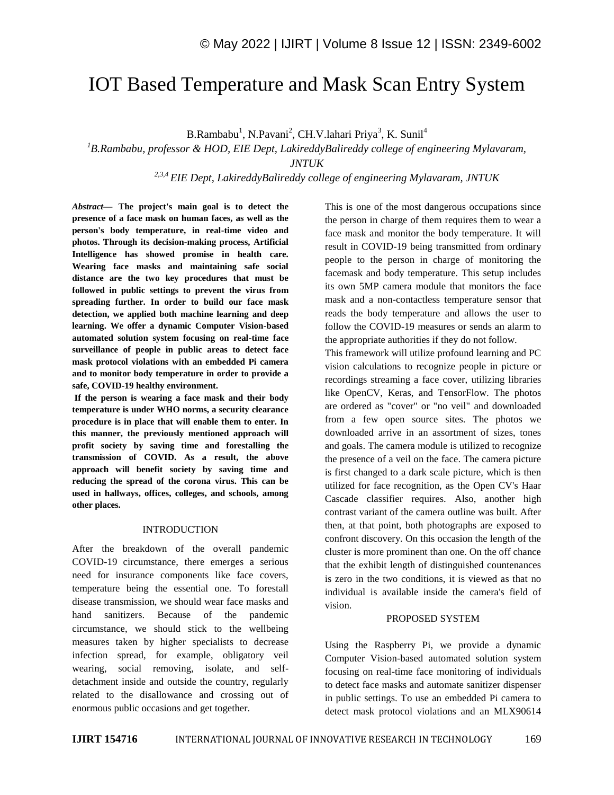# IOT Based Temperature and Mask Scan Entry System

B.Rambabu<sup>1</sup>, N.Pavani<sup>2</sup>, CH.V.lahari Priya<sup>3</sup>, K. Sunil<sup>4</sup>

*<sup>1</sup>B.Rambabu, professor & HOD, EIE Dept, LakireddyBalireddy college of engineering Mylavaram, JNTUK*

 *2,3,4 EIE Dept, LakireddyBalireddy college of engineering Mylavaram, JNTUK*

*Abstract—* **The project's main goal is to detect the presence of a face mask on human faces, as well as the person's body temperature, in real-time video and photos. Through its decision-making process, Artificial Intelligence has showed promise in health care. Wearing face masks and maintaining safe social distance are the two key procedures that must be followed in public settings to prevent the virus from spreading further. In order to build our face mask detection, we applied both machine learning and deep learning. We offer a dynamic Computer Vision-based automated solution system focusing on real-time face surveillance of people in public areas to detect face mask protocol violations with an embedded Pi camera and to monitor body temperature in order to provide a safe, COVID-19 healthy environment.**

**If the person is wearing a face mask and their body temperature is under WHO norms, a security clearance procedure is in place that will enable them to enter. In this manner, the previously mentioned approach will profit society by saving time and forestalling the transmission of COVID. As a result, the above approach will benefit society by saving time and reducing the spread of the corona virus. This can be used in hallways, offices, colleges, and schools, among other places.**

#### INTRODUCTION

After the breakdown of the overall pandemic COVID-19 circumstance, there emerges a serious need for insurance components like face covers, temperature being the essential one. To forestall disease transmission, we should wear face masks and hand sanitizers. Because of the pandemic circumstance, we should stick to the wellbeing measures taken by higher specialists to decrease infection spread, for example, obligatory veil wearing, social removing, isolate, and selfdetachment inside and outside the country, regularly related to the disallowance and crossing out of enormous public occasions and get together.

This is one of the most dangerous occupations since the person in charge of them requires them to wear a face mask and monitor the body temperature. It will result in COVID-19 being transmitted from ordinary people to the person in charge of monitoring the facemask and body temperature. This setup includes its own 5MP camera module that monitors the face mask and a non-contactless temperature sensor that reads the body temperature and allows the user to follow the COVID-19 measures or sends an alarm to the appropriate authorities if they do not follow.

This framework will utilize profound learning and PC vision calculations to recognize people in picture or recordings streaming a face cover, utilizing libraries like OpenCV, Keras, and TensorFlow. The photos are ordered as "cover" or "no veil" and downloaded from a few open source sites. The photos we downloaded arrive in an assortment of sizes, tones and goals. The camera module is utilized to recognize the presence of a veil on the face. The camera picture is first changed to a dark scale picture, which is then utilized for face recognition, as the Open CV's Haar Cascade classifier requires. Also, another high contrast variant of the camera outline was built. After then, at that point, both photographs are exposed to confront discovery. On this occasion the length of the cluster is more prominent than one. On the off chance that the exhibit length of distinguished countenances is zero in the two conditions, it is viewed as that no individual is available inside the camera's field of vision.

#### PROPOSED SYSTEM

Using the Raspberry Pi, we provide a dynamic Computer Vision-based automated solution system focusing on real-time face monitoring of individuals to detect face masks and automate sanitizer dispenser in public settings. To use an embedded Pi camera to detect mask protocol violations and an MLX90614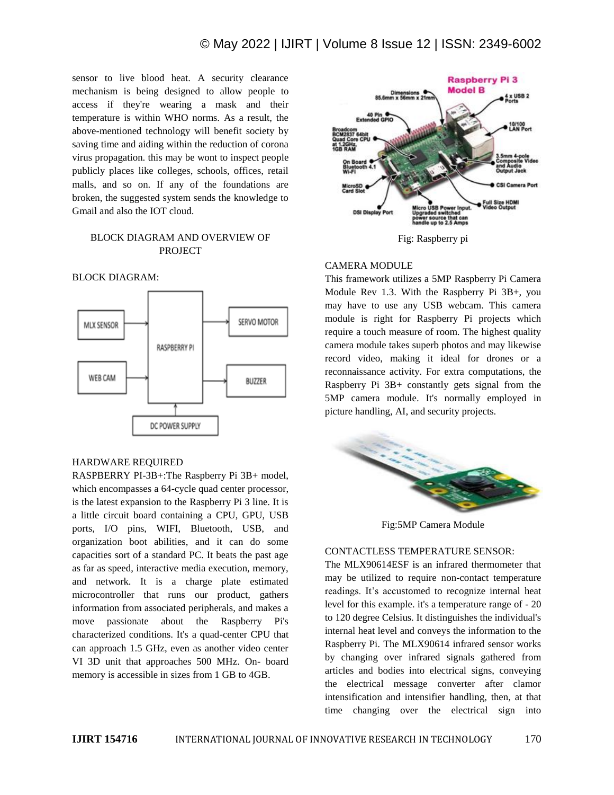sensor to live blood heat. A security clearance mechanism is being designed to allow people to access if they're wearing a mask and their temperature is within WHO norms. As a result, the above-mentioned technology will benefit society by saving time and aiding within the reduction of corona virus propagation. this may be wont to inspect people publicly places like colleges, schools, offices, retail malls, and so on. If any of the foundations are broken, the suggested system sends the knowledge to Gmail and also the IOT cloud.

# BLOCK DIAGRAM AND OVERVIEW OF PROJECT



# BLOCK DIAGRAM:

#### HARDWARE REQUIRED

RASPBERRY PI-3B+:The Raspberry Pi 3B+ model, which encompasses a 64-cycle quad center processor, is the latest expansion to the Raspberry Pi 3 line. It is a little circuit board containing a CPU, GPU, USB ports, I/O pins, WIFI, Bluetooth, USB, and organization boot abilities, and it can do some capacities sort of a standard PC. It beats the past age as far as speed, interactive media execution, memory, and network. It is a charge plate estimated microcontroller that runs our product, gathers information from associated peripherals, and makes a move passionate about the Raspberry Pi's characterized conditions. It's a quad-center CPU that can approach 1.5 GHz, even as another video center VI 3D unit that approaches 500 MHz. On- board memory is accessible in sizes from 1 GB to 4GB.



#### CAMERA MODULE

This framework utilizes a 5MP Raspberry Pi Camera Module Rev 1.3. With the Raspberry Pi 3B+, you may have to use any USB webcam. This camera module is right for Raspberry Pi projects which require a touch measure of room. The highest quality camera module takes superb photos and may likewise record video, making it ideal for drones or a reconnaissance activity. For extra computations, the Raspberry Pi 3B+ constantly gets signal from the 5MP camera module. It's normally employed in picture handling, AI, and security projects.



Fig:5MP Camera Module

#### CONTACTLESS TEMPERATURE SENSOR:

The MLX90614ESF is an infrared thermometer that may be utilized to require non-contact temperature readings. It's accustomed to recognize internal heat level for this example. it's a temperature range of - 20 to 120 degree Celsius. It distinguishes the individual's internal heat level and conveys the information to the Raspberry Pi. The MLX90614 infrared sensor works by changing over infrared signals gathered from articles and bodies into electrical signs, conveying the electrical message converter after clamor intensification and intensifier handling, then, at that time changing over the electrical sign into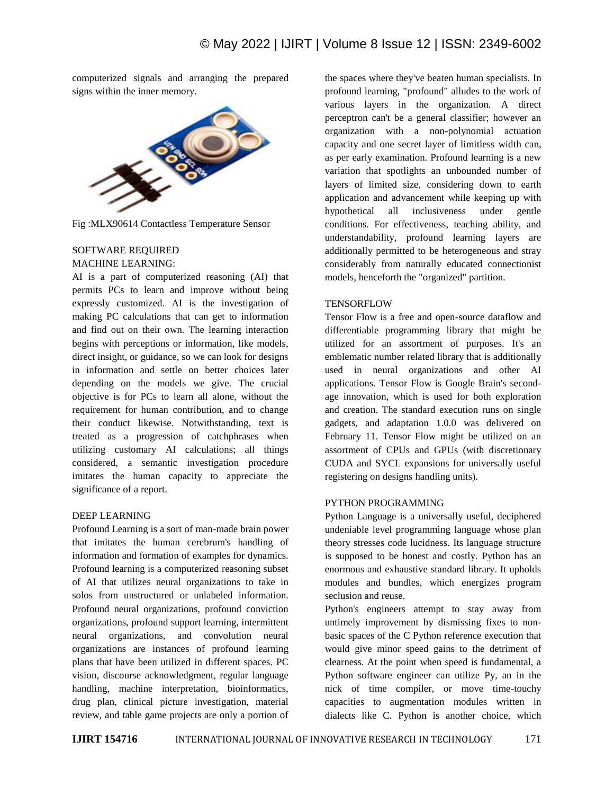computerized signals and arranging the prepared signs within the inner memory.



Fig :MLX90614 Contactless Temperature Sensor

# SOFTWARE REQUIRED

#### MACHINE LEARNING:

AI is a part of computerized reasoning (AI) that permits PCs to learn and improve without being expressly customized. AI is the investigation of making PC calculations that can get to information and find out on their own. The learning interaction begins with perceptions or information, like models, direct insight, or guidance, so we can look for designs in information and settle on better choices later depending on the models we give. The crucial objective is for PCs to learn all alone, without the requirement for human contribution, and to change their conduct likewise. Notwithstanding, text is treated as a progression of catchphrases when utilizing customary AI calculations; all things considered, a semantic investigation procedure imitates the human capacity to appreciate the significance of a report.

#### DEEP LEARNING

Profound Learning is a sort of man-made brain power that imitates the human cerebrum's handling of information and formation of examples for dynamics. Profound learning is a computerized reasoning subset of AI that utilizes neural organizations to take in solos from unstructured or unlabeled information. Profound neural organizations, profound conviction organizations, profound support learning, intermittent neural organizations, and convolution neural organizations are instances of profound learning plans that have been utilized in different spaces. PC vision, discourse acknowledgment, regular language handling, machine interpretation, bioinformatics, drug plan, clinical picture investigation, material review, and table game projects are only a portion of the spaces where they've beaten human specialists. In profound learning, "profound" alludes to the work of various layers in the organization. A direct perceptron can't be a general classifier; however an organization with a non-polynomial actuation capacity and one secret layer of limitless width can, as per early examination. Profound learning is a new variation that spotlights an unbounded number of layers of limited size, considering down to earth application and advancement while keeping up with hypothetical all inclusiveness under gentle conditions. For effectiveness, teaching ability, and understandability, profound learning layers are additionally permitted to be heterogeneous and stray considerably from naturally educated connectionist models, henceforth the "organized" partition.

#### **TENSORFLOW**

Tensor Flow is a free and open-source dataflow and differentiable programming library that might be utilized for an assortment of purposes. It's an emblematic number related library that is additionally used in neural organizations and other AI applications. Tensor Flow is Google Brain's secondage innovation, which is used for both exploration and creation. The standard execution runs on single gadgets, and adaptation 1.0.0 was delivered on February 11. Tensor Flow might be utilized on an assortment of CPUs and GPUs (with discretionary CUDA and SYCL expansions for universally useful registering on designs handling units).

## PYTHON PROGRAMMING

Python Language is a universally useful, deciphered undeniable level programming language whose plan theory stresses code lucidness. Its language structure is supposed to be honest and costly. Python has an enormous and exhaustive standard library. It upholds modules and bundles, which energizes program seclusion and reuse.

Python's engineers attempt to stay away from untimely improvement by dismissing fixes to nonbasic spaces of the C Python reference execution that would give minor speed gains to the detriment of clearness. At the point when speed is fundamental, a Python software engineer can utilize Py, an in the nick of time compiler, or move time-touchy capacities to augmentation modules written in dialects like C. Python is another choice, which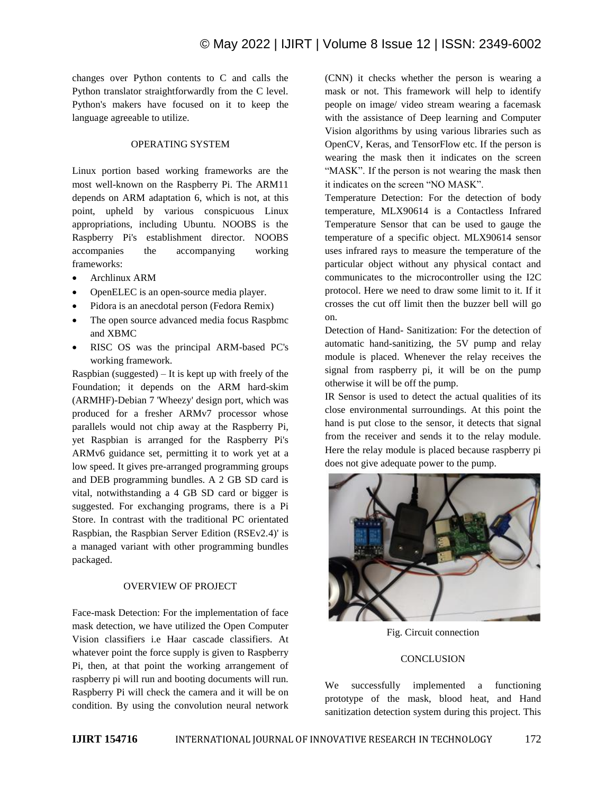changes over Python contents to C and calls the Python translator straightforwardly from the C level. Python's makers have focused on it to keep the language agreeable to utilize.

# OPERATING SYSTEM

Linux portion based working frameworks are the most well-known on the Raspberry Pi. The ARM11 depends on ARM adaptation 6, which is not, at this point, upheld by various conspicuous Linux appropriations, including Ubuntu. NOOBS is the Raspberry Pi's establishment director. NOOBS accompanies the accompanying working frameworks:

- Archlinux ARM
- OpenELEC is an open-source media player.
- Pidora is an anecdotal person (Fedora Remix)
- The open source advanced media focus Raspbmc and XBMC
- RISC OS was the principal ARM-based PC's working framework.

Raspbian (suggested) – It is kept up with freely of the Foundation; it depends on the ARM hard-skim (ARMHF)-Debian 7 'Wheezy' design port, which was produced for a fresher ARMv7 processor whose parallels would not chip away at the Raspberry Pi, yet Raspbian is arranged for the Raspberry Pi's ARMv6 guidance set, permitting it to work yet at a low speed. It gives pre-arranged programming groups and DEB programming bundles. A 2 GB SD card is vital, notwithstanding a 4 GB SD card or bigger is suggested. For exchanging programs, there is a Pi Store. In contrast with the traditional PC orientated Raspbian, the Raspbian Server Edition (RSEv2.4)' is a managed variant with other programming bundles packaged.

#### OVERVIEW OF PROJECT

Face-mask Detection: For the implementation of face mask detection, we have utilized the Open Computer Vision classifiers i.e Haar cascade classifiers. At whatever point the force supply is given to Raspberry Pi, then, at that point the working arrangement of raspberry pi will run and booting documents will run. Raspberry Pi will check the camera and it will be on condition. By using the convolution neural network

(CNN) it checks whether the person is wearing a mask or not. This framework will help to identify people on image/ video stream wearing a facemask with the assistance of Deep learning and Computer Vision algorithms by using various libraries such as OpenCV, Keras, and TensorFlow etc. If the person is wearing the mask then it indicates on the screen "MASK". If the person is not wearing the mask then it indicates on the screen "NO MASK".

Temperature Detection: For the detection of body temperature, MLX90614 is a Contactless Infrared Temperature Sensor that can be used to gauge the temperature of a specific object. MLX90614 sensor uses infrared rays to measure the temperature of the particular object without any physical contact and communicates to the microcontroller using the I2C protocol. Here we need to draw some limit to it. If it crosses the cut off limit then the buzzer bell will go on.

Detection of Hand- Sanitization: For the detection of automatic hand-sanitizing, the 5V pump and relay module is placed. Whenever the relay receives the signal from raspberry pi, it will be on the pump otherwise it will be off the pump.

IR Sensor is used to detect the actual qualities of its close environmental surroundings. At this point the hand is put close to the sensor, it detects that signal from the receiver and sends it to the relay module. Here the relay module is placed because raspberry pi does not give adequate power to the pump.



Fig. Circuit connection

## **CONCLUSION**

We successfully implemented a functioning prototype of the mask, blood heat, and Hand sanitization detection system during this project. This